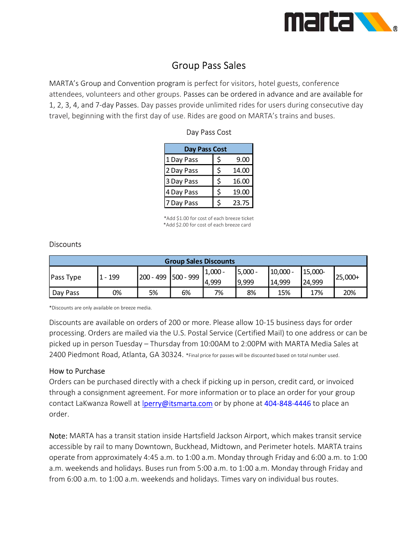

# Group Pass Sales

MARTA's Group and Convention program is perfect for visitors, hotel guests, conference attendees, volunteers and other groups. Passes can be ordered in advance and are available for 1, 2, 3, 4, and 7-day Passes. Day passes provide unlimited rides for users during consecutive day travel, beginning with the first day of use. Rides are good on MARTA's trains and buses.

| Day Pass Cost |             |
|---------------|-------------|
| 1 Day Pass    | \$<br>9.00  |
| 2 Day Pass    | \$<br>14.00 |
| 3 Day Pass    | \$<br>16.00 |
| 4 Day Pass    | \$<br>19.00 |
| 7 Day Pass    | 23.75       |

#### Day Pass Cost

#### **Discounts**

|                  | travel, beginning with the first day of use. Rides are good on MARTA's trains and buses. |           |                                                                                        |                      |                    |                      |                   |           |
|------------------|------------------------------------------------------------------------------------------|-----------|----------------------------------------------------------------------------------------|----------------------|--------------------|----------------------|-------------------|-----------|
|                  |                                                                                          |           |                                                                                        | Day Pass Cost        |                    |                      |                   |           |
|                  |                                                                                          |           |                                                                                        | <b>Day Pass Cost</b> |                    |                      |                   |           |
|                  |                                                                                          |           | 1 Day Pass                                                                             | \$                   | 9.00               |                      |                   |           |
|                  |                                                                                          |           | 2 Day Pass                                                                             | \$                   | 14.00              |                      |                   |           |
|                  |                                                                                          |           | 3 Day Pass                                                                             | \$                   | 16.00              |                      |                   |           |
|                  |                                                                                          |           | 4 Day Pass                                                                             | \$                   | 19.00              |                      |                   |           |
|                  |                                                                                          |           | 7 Day Pass                                                                             | \$                   | 23.75              |                      |                   |           |
|                  |                                                                                          |           | *Add \$1.00 for cost of each breeze ticket<br>*Add \$2.00 for cost of each breeze card |                      |                    |                      |                   |           |
|                  |                                                                                          |           |                                                                                        |                      |                    |                      |                   |           |
| <b>Discounts</b> |                                                                                          |           | <b>Group Sales Discounts</b>                                                           |                      |                    |                      |                   |           |
| Pass Type        | $1 - 199$                                                                                | 200 - 499 | 500 - 999                                                                              | $1,000 -$<br>4,999   | $5,000 -$<br>9,999 | $10,000 -$<br>14,999 | 15,000-<br>24,999 | $25,000+$ |
| Day Pass         | 0%                                                                                       | 5%        | 6%                                                                                     | 7%                   | 8%                 | 15%                  | 17%               | 20%       |

Discounts are available on orders of 200 or more. Please allow 10-15 business days for order processing. Orders are mailed via the U.S. Postal Service (Certified Mail) to one address or can be picked up in person Tuesday – Thursday from 10:00AM to 2:00PM with MARTA Media Sales at 2400 Piedmont Road, Atlanta, GA 30324. \*Final price for passes will be discounted based on total number used.

### How to Purchase

Orders can be purchased directly with a check if picking up in person, credit card, or invoiced through a consignment agreement. For more information or to place an order for your group contact LaKwanza Rowell at *lperry@itsmarta.com* or by phone at 404-848-4446 to place an order.

Note: MARTA has a transit station inside Hartsfield Jackson Airport, which makes transit service accessible by rail to many Downtown, Buckhead, Midtown, and Perimeter hotels. MARTA trains operate from approximately 4:45 a.m. to 1:00 a.m. Monday through Friday and 6:00 a.m. to 1:00 a.m. weekends and holidays. Buses run from 5:00 a.m. to 1:00 a.m. Monday through Friday and from 6:00 a.m. to 1:00 a.m. weekends and holidays. Times vary on individual bus routes.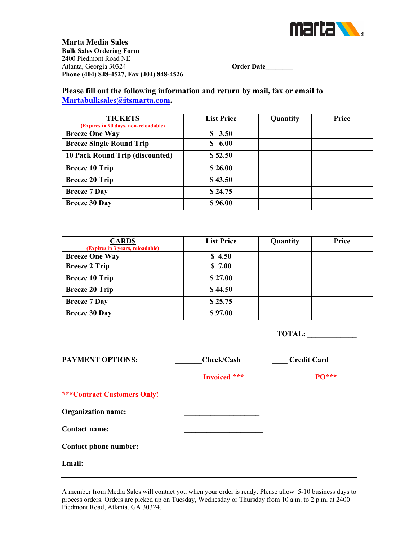

**Marta Media Sales Bulk Sales Ordering Form** 2400 Piedmont Road NE Atlanta, Georgia 30324 **Order Date\_\_\_\_\_\_\_\_ Phone (404) 848-4527, Fax (404) 848-4526**

## **Please fill out the following information and return by mail, fax or email to Martabulksales@itsmarta.com.**

| <b>TICKETS</b>                       | <b>List Price</b> | Quantity | Price |
|--------------------------------------|-------------------|----------|-------|
| (Expires in 90 days, non-reloadable) |                   |          |       |
| <b>Breeze One Way</b>                | \$3.50            |          |       |
| <b>Breeze Single Round Trip</b>      | \$6.00            |          |       |
| 10 Pack Round Trip (discounted)      | \$52.50           |          |       |
| <b>Breeze 10 Trip</b>                | \$26.00           |          |       |
| <b>Breeze 20 Trip</b>                | \$43.50           |          |       |
| <b>Breeze 7 Day</b>                  | \$24.75           |          |       |
| <b>Breeze 30 Day</b>                 | \$96.00           |          |       |

| <b>CARDS</b><br>(Expires in 3 years, reloadable) | <b>List Price</b> | Quantity | Price |
|--------------------------------------------------|-------------------|----------|-------|
| <b>Breeze One Way</b>                            | \$4.50            |          |       |
| <b>Breeze 2 Trip</b>                             | \$7.00            |          |       |
| <b>Breeze 10 Trip</b>                            | \$27.00           |          |       |
| <b>Breeze 20 Trip</b>                            | \$44.50           |          |       |
| <b>Breeze 7 Day</b>                              | \$25.75           |          |       |
| <b>Breeze 30 Day</b>                             | \$97.00           |          |       |

 **TOTAL: \_\_\_\_\_\_\_\_\_\_\_\_** 

| <b>PAYMENT OPTIONS:</b>            | Check/Cash   | <b>Credit Card</b> |
|------------------------------------|--------------|--------------------|
|                                    | Invoiced *** | <b>PO***</b>       |
| <b>***Contract Customers Only!</b> |              |                    |
| <b>Organization name:</b>          |              |                    |
| Contact name:                      |              |                    |
| Contact phone number:              |              |                    |
| <b>Email:</b>                      |              |                    |

A member from Media Sales will contact you when your order is ready. Please allow 5-10 business days to process orders. Orders are picked up on Tuesday, Wednesday or Thursday from 10 a.m. to 2 p.m. at 2400 Piedmont Road, Atlanta, GA 30324.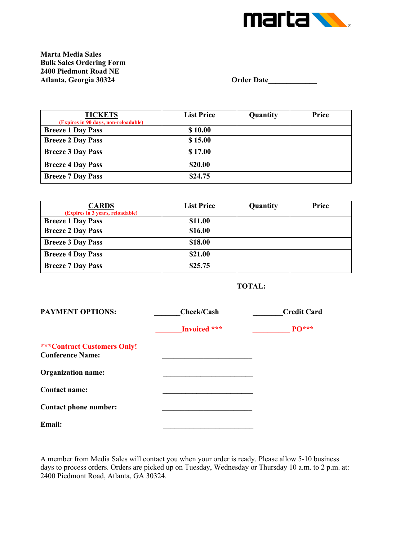

**Marta Media Sales Bulk Sales Ordering Form 2400 Piedmont Road NE**

**Atlanta, Georgia 30324 Order Date\_\_\_\_\_\_\_\_\_\_\_\_\_**

| <b>TICKETS</b><br>(Expires in 90 days, non-reloadable) | <b>List Price</b> | Quantity | Price |
|--------------------------------------------------------|-------------------|----------|-------|
| <b>Breeze 1 Day Pass</b>                               | \$10.00           |          |       |
| <b>Breeze 2 Day Pass</b>                               | \$15.00           |          |       |
| <b>Breeze 3 Day Pass</b>                               | \$17.00           |          |       |
| <b>Breeze 4 Day Pass</b>                               | \$20.00           |          |       |
| <b>Breeze 7 Day Pass</b>                               | \$24.75           |          |       |

| <b>CARDS</b>                     | <b>List Price</b> | Quantity | Price |
|----------------------------------|-------------------|----------|-------|
| (Expires in 3 years, reloadable) |                   |          |       |
| <b>Breeze 1 Day Pass</b>         | \$11.00           |          |       |
| <b>Breeze 2 Day Pass</b>         | \$16.00           |          |       |
| <b>Breeze 3 Day Pass</b>         | \$18.00           |          |       |
| <b>Breeze 4 Day Pass</b>         | \$21.00           |          |       |
| <b>Breeze 7 Day Pass</b>         | \$25.75           |          |       |



| <b>PAYMENT OPTIONS:</b>                                       | Check/Cash   | <b>Credit Card</b> |
|---------------------------------------------------------------|--------------|--------------------|
|                                                               | Invoiced *** | <b>PO***</b>       |
| <b>***Contract Customers Only!</b><br><b>Conference Name:</b> |              |                    |
| <b>Organization name:</b>                                     |              |                    |
| <b>Contact name:</b>                                          |              |                    |
| Contact phone number:                                         |              |                    |
| Email:                                                        |              |                    |

A member from Media Sales will contact you when your order is ready. Please allow 5-10 business days to process orders. Orders are picked up on Tuesday, Wednesday or Thursday 10 a.m. to 2 p.m. at: 2400 Piedmont Road, Atlanta, GA 30324.